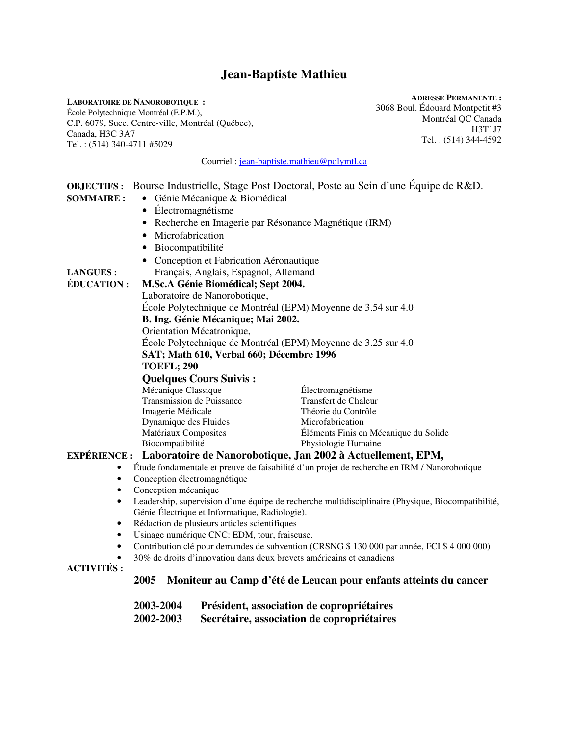# **Jean-Baptiste Mathieu**

**LABORATOIRE DE NANOROBOTIQUE :**  École Polytechnique Montréal (E.P.M.), C.P. 6079, Succ. Centre-ville, Montréal (Québec), Canada, H3C 3A7 Tel. : (514) 340-4711 #5029

**ADRESSE PERMANENTE :**  3068 Boul. Édouard Montpetit #3 Montréal QC Canada H3T1J7 Tel. : (514) 344-4592

|                                                                                                                                                                                                                                                                                                                                                                                                                                                                                                                                                                                                                                                                                                                                                                                                                                                                                                                                                                                                                                                                                                                                                        |                                |  | Courriel : jean-baptiste.mathieu@polymtl.ca                                                                                                                 |
|--------------------------------------------------------------------------------------------------------------------------------------------------------------------------------------------------------------------------------------------------------------------------------------------------------------------------------------------------------------------------------------------------------------------------------------------------------------------------------------------------------------------------------------------------------------------------------------------------------------------------------------------------------------------------------------------------------------------------------------------------------------------------------------------------------------------------------------------------------------------------------------------------------------------------------------------------------------------------------------------------------------------------------------------------------------------------------------------------------------------------------------------------------|--------------------------------|--|-------------------------------------------------------------------------------------------------------------------------------------------------------------|
| OBJECTIFS : Bourse Industrielle, Stage Post Doctoral, Poste au Sein d'une Équipe de R&D.<br>Génie Mécanique & Biomédical<br><b>SOMMAIRE:</b><br>Électromagnétisme<br>Recherche en Imagerie par Résonance Magnétique (IRM)<br>$\bullet$<br>Microfabrication<br>$\bullet$<br>Biocompatibilité<br>Conception et Fabrication Aéronautique<br>Français, Anglais, Espagnol, Allemand<br><b>LANGUES:</b><br>ÉDUCATION:<br>M.Sc.A Génie Biomédical; Sept 2004.<br>Laboratoire de Nanorobotique,<br>École Polytechnique de Montréal (EPM) Moyenne de 3.54 sur 4.0<br>B. Ing. Génie Mécanique; Mai 2002.<br>Orientation Mécatronique,<br>École Polytechnique de Montréal (EPM) Moyenne de 3.25 sur 4.0                                                                                                                                                                                                                                                                                                                                                                                                                                                           |                                |  |                                                                                                                                                             |
| SAT; Math 610, Verbal 660; Décembre 1996<br><b>TOEFL; 290</b><br><b>Quelques Cours Suivis:</b><br>Mécanique Classique<br>Électromagnétisme<br>Transmission de Puissance<br>Transfert de Chaleur<br>Imagerie Médicale<br>Théorie du Contrôle<br>Dynamique des Fluides<br>Microfabrication<br>Matériaux Composites<br>Éléments Finis en Mécanique du Solide<br>Biocompatibilité<br>Physiologie Humaine<br>EXPÉRIENCE : Laboratoire de Nanorobotique, Jan 2002 à Actuellement, EPM,<br>Étude fondamentale et preuve de faisabilité d'un projet de recherche en IRM / Nanorobotique<br>٠<br>Conception électromagnétique<br>$\bullet$<br>Conception mécanique<br>$\bullet$<br>Leadership, supervision d'une équipe de recherche multidisciplinaire (Physique, Biocompatibilité,<br>$\bullet$<br>Génie Électrique et Informatique, Radiologie).<br>Rédaction de plusieurs articles scientifiques<br>$\bullet$<br>Usinage numérique CNC: EDM, tour, fraiseuse.<br>٠<br>Contribution clé pour demandes de subvention (CRSNG \$ 130 000 par année, FCI \$ 4 000 000)<br>٠<br>30% de droits d'innovation dans deux brevets américains et canadiens<br>$\bullet$ |                                |  |                                                                                                                                                             |
| <b>ACTIVITÉS:</b>                                                                                                                                                                                                                                                                                                                                                                                                                                                                                                                                                                                                                                                                                                                                                                                                                                                                                                                                                                                                                                                                                                                                      | 2005<br>2003-2004<br>2002-2003 |  | Moniteur au Camp d'été de Leucan pour enfants atteints du cancer<br>Président, association de copropriétaires<br>Secrétaire, association de copropriétaires |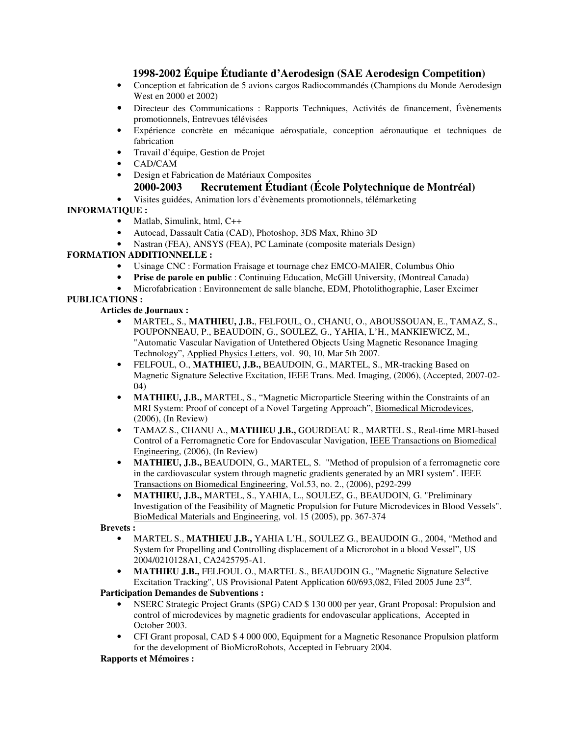# **1998-2002 Équipe Étudiante d'Aerodesign (SAE Aerodesign Competition)**

- Conception et fabrication de 5 avions cargos Radiocommandés (Champions du Monde Aerodesign West en 2000 et 2002)
- Directeur des Communications : Rapports Techniques, Activités de financement, Évènements promotionnels, Entrevues télévisées
- Expérience concrète en mécanique aérospatiale, conception aéronautique et techniques de fabrication
- Travail d'équipe, Gestion de Projet
- CAD/CAM
- Design et Fabrication de Matériaux Composites

## **2000-2003 Recrutement Étudiant (École Polytechnique de Montréal)**

• Visites guidées, Animation lors d'évènements promotionnels, télémarketing

## **INFORMATIQUE :**

- Matlab, Simulink, html, C++
- Autocad, Dassault Catia (CAD), Photoshop, 3DS Max, Rhino 3D
- Nastran (FEA), ANSYS (FEA), PC Laminate (composite materials Design)

## **FORMATION ADDITIONNELLE :**

- Usinage CNC : Formation Fraisage et tournage chez EMCO-MAIER, Columbus Ohio
- **Prise de parole en public** : Continuing Education, McGill University, (Montreal Canada)
- Microfabrication : Environnement de salle blanche, EDM, Photolithographie, Laser Excimer

### **PUBLICATIONS :**

**Articles de Journaux :** 

- MARTEL, S., **MATHIEU, J.B.**, FELFOUL, O., CHANU, O., ABOUSSOUAN, E., TAMAZ, S., POUPONNEAU, P., BEAUDOIN, G., SOULEZ, G., YAHIA, L'H., MANKIEWICZ, M., "Automatic Vascular Navigation of Untethered Objects Using Magnetic Resonance Imaging Technology", Applied Physics Letters, vol. 90, 10, Mar 5th 2007.
- FELFOUL, O., **MATHIEU, J.B.,** BEAUDOIN, G., MARTEL, S., MR-tracking Based on Magnetic Signature Selective Excitation, IEEE Trans. Med. Imaging, (2006), (Accepted, 2007-02- 04)
- **MATHIEU, J.B., MARTEL, S., "Magnetic Microparticle Steering within the Constraints of an** MRI System: Proof of concept of a Novel Targeting Approach", Biomedical Microdevices, (2006), (In Review)
- TAMAZ S., CHANU A., **MATHIEU J.B.,** GOURDEAU R., MARTEL S., Real-time MRI-based Control of a Ferromagnetic Core for Endovascular Navigation, IEEE Transactions on Biomedical Engineering, (2006), (In Review)
- **MATHIEU, J.B., BEAUDOIN, G., MARTEL, S.** "Method of propulsion of a ferromagnetic core in the cardiovascular system through magnetic gradients generated by an MRI system". IEEE Transactions on Biomedical Engineering, Vol.53, no. 2., (2006), p292-299
- **MATHIEU, J.B.,** MARTEL, S., YAHIA, L., SOULEZ, G., BEAUDOIN, G. "Preliminary Investigation of the Feasibility of Magnetic Propulsion for Future Microdevices in Blood Vessels". BioMedical Materials and Engineering, vol. 15 (2005), pp. 367-374

**Brevets :** 

- MARTEL S., **MATHIEU J.B.,** YAHIA L'H., SOULEZ G., BEAUDOIN G., 2004, "Method and System for Propelling and Controlling displacement of a Microrobot in a blood Vessel", US 2004/0210128A1, CA2425795-A1.
- **MATHIEU J.B.,** FELFOUL O., MARTEL S., BEAUDOIN G., "Magnetic Signature Selective Excitation Tracking", US Provisional Patent Application 60/693,082, Filed 2005 June 23rd.

**Participation Demandes de Subventions :** 

- NSERC Strategic Project Grants (SPG) CAD \$ 130 000 per year, Grant Proposal: Propulsion and control of microdevices by magnetic gradients for endovascular applications, Accepted in October 2003.
- CFI Grant proposal, CAD \$ 4 000 000, Equipment for a Magnetic Resonance Propulsion platform for the development of BioMicroRobots, Accepted in February 2004.

#### **Rapports et Mémoires :**